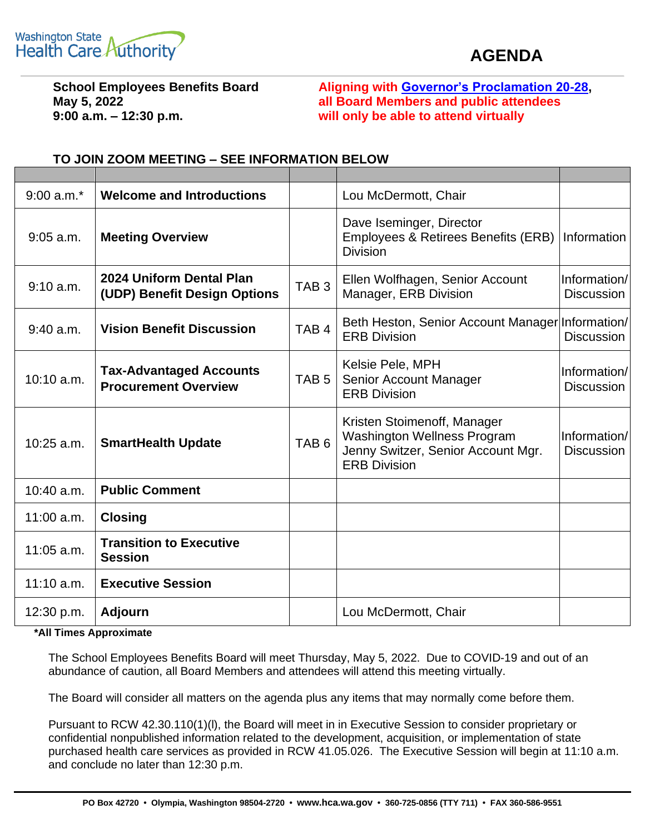

## **AGENDA**

**9:00 a.m. – 12:30 p.m. will only be able to attend virtually**

**School Employees Benefits Board Aligning with [Governor's Proclamation 20-28,](https://www.governor.wa.gov/sites/default/files/proclamations/20-28%20-%20COVID-19%20Open%20Govt%20Laws%20Waivers%20%28tmp%29.pdf) May 5, 2022 all Board Members and public attendees**

| $9:00 a.m.*$ | <b>Welcome and Introductions</b>                              |                  | Lou McDermott, Chair                                                                                                           |                                   |
|--------------|---------------------------------------------------------------|------------------|--------------------------------------------------------------------------------------------------------------------------------|-----------------------------------|
| $9:05$ a.m.  | <b>Meeting Overview</b>                                       |                  | Dave Iseminger, Director<br>Employees & Retirees Benefits (ERB)<br><b>Division</b>                                             | Information                       |
| 9:10 a.m.    | 2024 Uniform Dental Plan<br>(UDP) Benefit Design Options      | TAB <sub>3</sub> | Ellen Wolfhagen, Senior Account<br>Manager, ERB Division                                                                       | Information/<br><b>Discussion</b> |
| $9:40$ a.m.  | <b>Vision Benefit Discussion</b>                              | TAB <sub>4</sub> | Beth Heston, Senior Account Manager Information/<br><b>ERB Division</b>                                                        | <b>Discussion</b>                 |
| $10:10$ a.m. | <b>Tax-Advantaged Accounts</b><br><b>Procurement Overview</b> | TAB <sub>5</sub> | Kelsie Pele, MPH<br>Senior Account Manager<br><b>ERB Division</b>                                                              | Information/<br><b>Discussion</b> |
| $10:25$ a.m. | <b>SmartHealth Update</b>                                     | TAB <sub>6</sub> | Kristen Stoimenoff, Manager<br><b>Washington Wellness Program</b><br>Jenny Switzer, Senior Account Mgr.<br><b>ERB Division</b> | Information/<br><b>Discussion</b> |
| $10:40$ a.m. | <b>Public Comment</b>                                         |                  |                                                                                                                                |                                   |
| $11:00$ a.m. | <b>Closing</b>                                                |                  |                                                                                                                                |                                   |
| $11:05$ a.m. | <b>Transition to Executive</b><br><b>Session</b>              |                  |                                                                                                                                |                                   |
| $11:10$ a.m. | <b>Executive Session</b>                                      |                  |                                                                                                                                |                                   |
| 12:30 p.m.   | <b>Adjourn</b>                                                |                  | Lou McDermott, Chair                                                                                                           |                                   |

## **TO JOIN ZOOM MEETING – SEE INFORMATION BELOW**

**\*All Times Approximate**

The School Employees Benefits Board will meet Thursday, May 5, 2022. Due to COVID-19 and out of an abundance of caution, all Board Members and attendees will attend this meeting virtually.

The Board will consider all matters on the agenda plus any items that may normally come before them.

Pursuant to RCW 42.30.110(1)(l), the Board will meet in in Executive Session to consider proprietary or confidential nonpublished information related to the development, acquisition, or implementation of state purchased health care services as provided in RCW 41.05.026. The Executive Session will begin at 11:10 a.m. and conclude no later than 12:30 p.m.